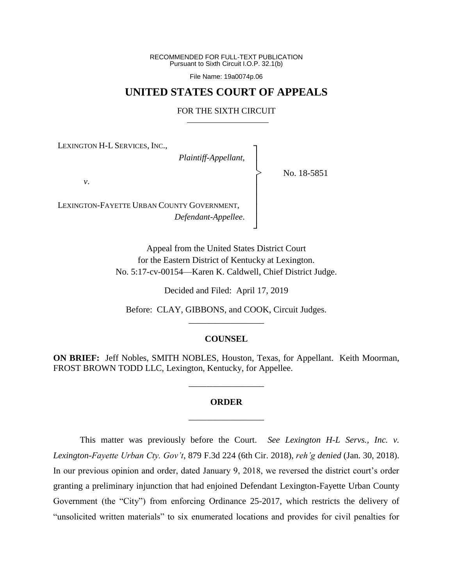RECOMMENDED FOR FULL-TEXT PUBLICATION Pursuant to Sixth Circuit I.O.P. 32.1(b)

File Name: 19a0074p.06

## **UNITED STATES COURT OF APPEALS**

## FOR THE SIXTH CIRCUIT

┐ │ │ │ │ │ │ │ ┘

|<br>|<br>|

LEXINGTON H-L SERVICES, INC.,

*Plaintiff-Appellant*,

No. 18-5851

*v*.

LEXINGTON-FAYETTE URBAN COUNTY GOVERNMENT, *Defendant-Appellee*.

> Appeal from the United States District Court for the Eastern District of Kentucky at Lexington. No. 5:17-cv-00154—Karen K. Caldwell, Chief District Judge.

> > Decided and Filed: April 17, 2019

Before: CLAY, GIBBONS, and COOK, Circuit Judges. \_\_\_\_\_\_\_\_\_\_\_\_\_\_\_\_\_

## **COUNSEL**

**ON BRIEF:** Jeff Nobles, SMITH NOBLES, Houston, Texas, for Appellant. Keith Moorman, FROST BROWN TODD LLC, Lexington, Kentucky, for Appellee.

\_\_\_\_\_\_\_\_\_\_\_\_\_\_\_\_\_

## **ORDER** \_\_\_\_\_\_\_\_\_\_\_\_\_\_\_\_\_

This matter was previously before the Court. *See Lexington H-L Servs., Inc. v. Lexington-Fayette Urban Cty. Gov't*, 879 F.3d 224 (6th Cir. 2018), *reh'g denied* (Jan. 30, 2018). In our previous opinion and order, dated January 9, 2018, we reversed the district court's order granting a preliminary injunction that had enjoined Defendant Lexington-Fayette Urban County Government (the "City") from enforcing Ordinance 25-2017, which restricts the delivery of "unsolicited written materials" to six enumerated locations and provides for civil penalties for